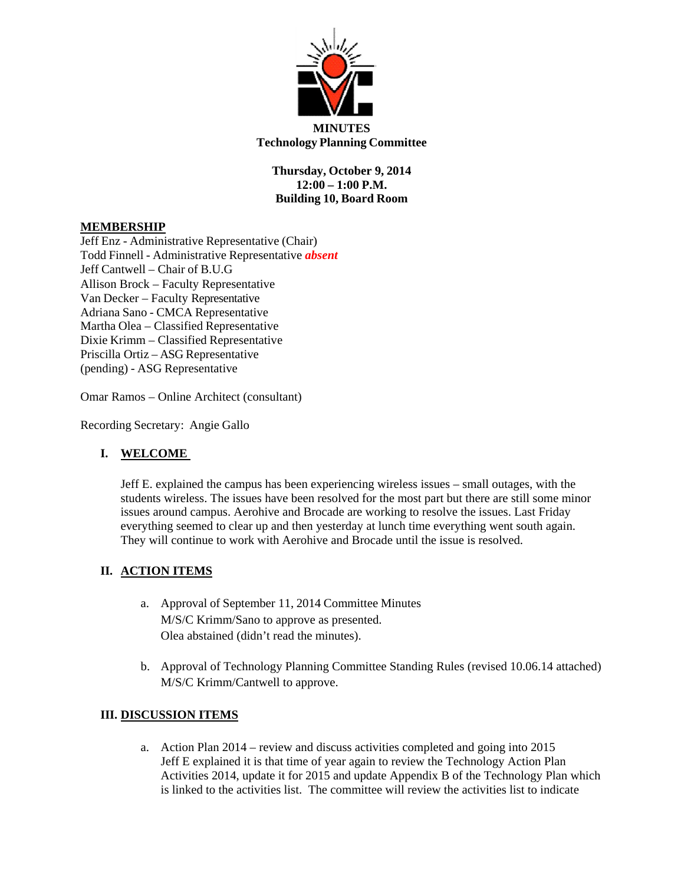

**Thursday, October 9, 2014 12:00 – 1:00 P.M. Building 10, Board Room**

## **MEMBERSHIP**

Jeff Enz - Administrative Representative (Chair) Todd Finnell - Administrative Representative *absent* Jeff Cantwell – Chair of B.U.G Allison Brock – Faculty Representative Van Decker – Faculty Representative Adriana Sano - CMCA Representative Martha Olea – Classified Representative Dixie Krimm – Classified Representative Priscilla Ortiz – ASG Representative (pending) - ASG Representative

Omar Ramos – Online Architect (consultant)

Recording Secretary: Angie Gallo

### **I. WELCOME**

Jeff E. explained the campus has been experiencing wireless issues – small outages, with the students wireless. The issues have been resolved for the most part but there are still some minor issues around campus. Aerohive and Brocade are working to resolve the issues. Last Friday everything seemed to clear up and then yesterday at lunch time everything went south again. They will continue to work with Aerohive and Brocade until the issue is resolved.

### **II. ACTION ITEMS**

- a. Approval of September 11, 2014 Committee Minutes M/S/C Krimm/Sano to approve as presented. Olea abstained (didn't read the minutes).
- b. Approval of Technology Planning Committee Standing Rules (revised 10.06.14 attached) M/S/C Krimm/Cantwell to approve.

### **III. DISCUSSION ITEMS**

a. Action Plan 2014 – review and discuss activities completed and going into 2015 Jeff E explained it is that time of year again to review the Technology Action Plan Activities 2014, update it for 2015 and update Appendix B of the Technology Plan which is linked to the activities list. The committee will review the activities list to indicate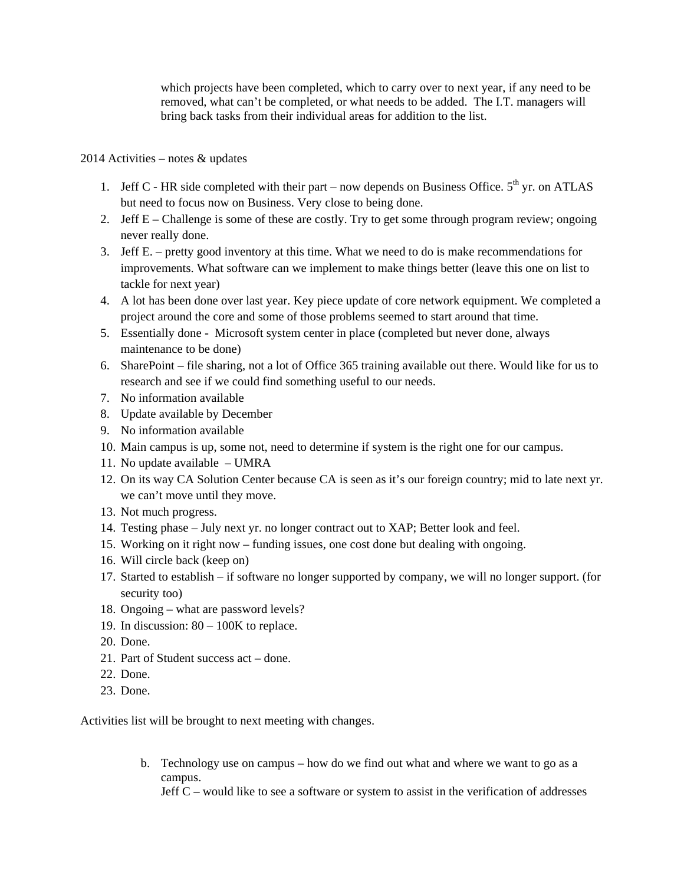which projects have been completed, which to carry over to next year, if any need to be removed, what can't be completed, or what needs to be added. The I.T. managers will bring back tasks from their individual areas for addition to the list.

2014 Activities – notes & updates

- 1. Jeff C HR side completed with their part now depends on Business Office.  $5<sup>th</sup>$  yr. on ATLAS but need to focus now on Business. Very close to being done.
- 2. Jeff E Challenge is some of these are costly. Try to get some through program review; ongoing never really done.
- 3. Jeff E. pretty good inventory at this time. What we need to do is make recommendations for improvements. What software can we implement to make things better (leave this one on list to tackle for next year)
- 4. A lot has been done over last year. Key piece update of core network equipment. We completed a project around the core and some of those problems seemed to start around that time.
- 5. Essentially done Microsoft system center in place (completed but never done, always maintenance to be done)
- 6. SharePoint file sharing, not a lot of Office 365 training available out there. Would like for us to research and see if we could find something useful to our needs.
- 7. No information available
- 8. Update available by December
- 9. No information available
- 10. Main campus is up, some not, need to determine if system is the right one for our campus.
- 11. No update available UMRA
- 12. On its way CA Solution Center because CA is seen as it's our foreign country; mid to late next yr. we can't move until they move.
- 13. Not much progress.
- 14. Testing phase July next yr. no longer contract out to XAP; Better look and feel.
- 15. Working on it right now funding issues, one cost done but dealing with ongoing.
- 16. Will circle back (keep on)
- 17. Started to establish if software no longer supported by company, we will no longer support. (for security too)
- 18. Ongoing what are password levels?
- 19. In discussion: 80 100K to replace.
- 20. Done.
- 21. Part of Student success act done.
- 22. Done.
- 23. Done.

Activities list will be brought to next meeting with changes.

b. Technology use on campus – how do we find out what and where we want to go as a campus.

Jeff C – would like to see a software or system to assist in the verification of addresses